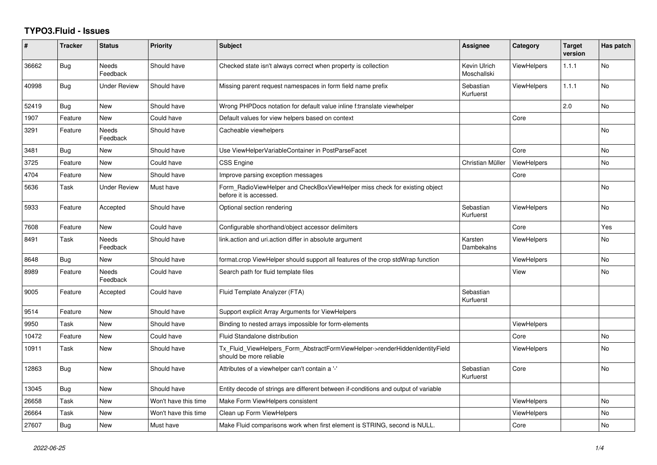## **TYPO3.Fluid - Issues**

| ∦     | <b>Tracker</b> | <b>Status</b>            | <b>Priority</b>      | <b>Subject</b>                                                                                         | Assignee                    | Category           | <b>Target</b><br>version | Has patch      |
|-------|----------------|--------------------------|----------------------|--------------------------------------------------------------------------------------------------------|-----------------------------|--------------------|--------------------------|----------------|
| 36662 | <b>Bug</b>     | <b>Needs</b><br>Feedback | Should have          | Checked state isn't always correct when property is collection                                         | Kevin Ulrich<br>Moschallski | <b>ViewHelpers</b> | 1.1.1                    | <b>No</b>      |
| 40998 | <b>Bug</b>     | <b>Under Review</b>      | Should have          | Missing parent request namespaces in form field name prefix                                            | Sebastian<br>Kurfuerst      | <b>ViewHelpers</b> | 1.1.1                    | <b>No</b>      |
| 52419 | Bug            | New                      | Should have          | Wrong PHPDocs notation for default value inline f:translate viewhelper                                 |                             |                    | 2.0                      | No             |
| 1907  | Feature        | New                      | Could have           | Default values for view helpers based on context                                                       |                             | Core               |                          |                |
| 3291  | Feature        | Needs<br>Feedback        | Should have          | Cacheable viewhelpers                                                                                  |                             |                    |                          | N <sub>o</sub> |
| 3481  | Bug            | New                      | Should have          | Use ViewHelperVariableContainer in PostParseFacet                                                      |                             | Core               |                          | <b>No</b>      |
| 3725  | Feature        | New                      | Could have           | CSS Engine                                                                                             | Christian Müller            | <b>ViewHelpers</b> |                          | No             |
| 4704  | Feature        | New                      | Should have          | Improve parsing exception messages                                                                     |                             | Core               |                          |                |
| 5636  | Task           | Under Review             | Must have            | Form RadioViewHelper and CheckBoxViewHelper miss check for existing object<br>before it is accessed.   |                             |                    |                          | <b>No</b>      |
| 5933  | Feature        | Accepted                 | Should have          | Optional section rendering                                                                             | Sebastian<br>Kurfuerst      | <b>ViewHelpers</b> |                          | <b>No</b>      |
| 7608  | Feature        | <b>New</b>               | Could have           | Configurable shorthand/object accessor delimiters                                                      |                             | Core               |                          | Yes            |
| 8491  | Task           | Needs<br>Feedback        | Should have          | link.action and uri.action differ in absolute argument                                                 | Karsten<br>Dambekalns       | <b>ViewHelpers</b> |                          | No             |
| 8648  | Bug            | New                      | Should have          | format.crop ViewHelper should support all features of the crop stdWrap function                        |                             | <b>ViewHelpers</b> |                          | <b>No</b>      |
| 8989  | Feature        | Needs<br>Feedback        | Could have           | Search path for fluid template files                                                                   |                             | View               |                          | No             |
| 9005  | Feature        | Accepted                 | Could have           | Fluid Template Analyzer (FTA)                                                                          | Sebastian<br>Kurfuerst      |                    |                          |                |
| 9514  | Feature        | <b>New</b>               | Should have          | Support explicit Array Arguments for ViewHelpers                                                       |                             |                    |                          |                |
| 9950  | Task           | New                      | Should have          | Binding to nested arrays impossible for form-elements                                                  |                             | ViewHelpers        |                          |                |
| 10472 | Feature        | New                      | Could have           | Fluid Standalone distribution                                                                          |                             | Core               |                          | No             |
| 10911 | Task           | New                      | Should have          | Tx_Fluid_ViewHelpers_Form_AbstractFormViewHelper->renderHiddenIdentityField<br>should be more reliable |                             | <b>ViewHelpers</b> |                          | <b>No</b>      |
| 12863 | Bug            | New                      | Should have          | Attributes of a viewhelper can't contain a '-'                                                         | Sebastian<br>Kurfuerst      | Core               |                          | No             |
| 13045 | <b>Bug</b>     | <b>New</b>               | Should have          | Entity decode of strings are different between if-conditions and output of variable                    |                             |                    |                          |                |
| 26658 | Task           | New                      | Won't have this time | Make Form ViewHelpers consistent                                                                       |                             | <b>ViewHelpers</b> |                          | <b>No</b>      |
| 26664 | Task           | New                      | Won't have this time | Clean up Form ViewHelpers                                                                              |                             | <b>ViewHelpers</b> |                          | No             |
| 27607 | Bug            | <b>New</b>               | Must have            | Make Fluid comparisons work when first element is STRING, second is NULL.                              |                             | Core               |                          | <b>No</b>      |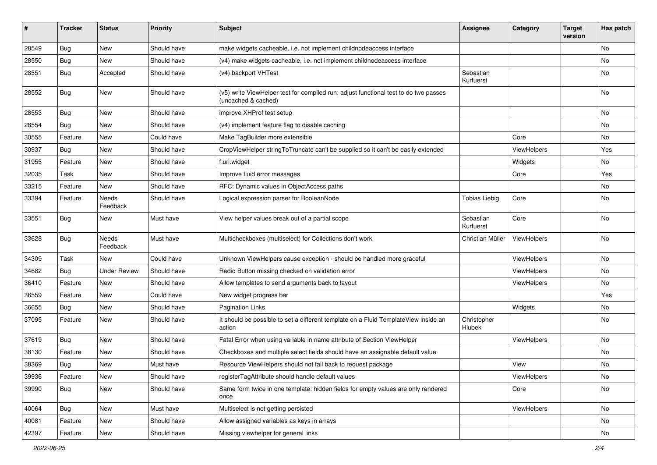| #     | <b>Tracker</b> | <b>Status</b>            | <b>Priority</b> | Subject                                                                                                     | <b>Assignee</b>        | Category    | <b>Target</b><br>version | Has patch |
|-------|----------------|--------------------------|-----------------|-------------------------------------------------------------------------------------------------------------|------------------------|-------------|--------------------------|-----------|
| 28549 | Bug            | New                      | Should have     | make widgets cacheable, i.e. not implement childnodeaccess interface                                        |                        |             |                          | <b>No</b> |
| 28550 | Bug            | New                      | Should have     | (v4) make widgets cacheable, i.e. not implement childnodeaccess interface                                   |                        |             |                          | No        |
| 28551 | Bug            | Accepted                 | Should have     | (v4) backport VHTest                                                                                        | Sebastian<br>Kurfuerst |             |                          | No        |
| 28552 | Bug            | <b>New</b>               | Should have     | (v5) write ViewHelper test for compiled run; adjust functional test to do two passes<br>(uncached & cached) |                        |             |                          | <b>No</b> |
| 28553 | Bug            | <b>New</b>               | Should have     | improve XHProf test setup                                                                                   |                        |             |                          | No        |
| 28554 | Bug            | <b>New</b>               | Should have     | (v4) implement feature flag to disable caching                                                              |                        |             |                          | No        |
| 30555 | Feature        | <b>New</b>               | Could have      | Make TagBuilder more extensible                                                                             |                        | Core        |                          | No        |
| 30937 | Bug            | New                      | Should have     | CropViewHelper stringToTruncate can't be supplied so it can't be easily extended                            |                        | ViewHelpers |                          | Yes       |
| 31955 | Feature        | New                      | Should have     | f:uri.widget                                                                                                |                        | Widgets     |                          | No        |
| 32035 | Task           | <b>New</b>               | Should have     | Improve fluid error messages                                                                                |                        | Core        |                          | Yes       |
| 33215 | Feature        | <b>New</b>               | Should have     | RFC: Dynamic values in ObjectAccess paths                                                                   |                        |             |                          | No        |
| 33394 | Feature        | <b>Needs</b><br>Feedback | Should have     | Logical expression parser for BooleanNode                                                                   | <b>Tobias Liebig</b>   | Core        |                          | <b>No</b> |
| 33551 | Bug            | New                      | Must have       | View helper values break out of a partial scope                                                             | Sebastian<br>Kurfuerst | Core        |                          | <b>No</b> |
| 33628 | Bug            | Needs<br>Feedback        | Must have       | Multicheckboxes (multiselect) for Collections don't work                                                    | Christian Müller       | ViewHelpers |                          | <b>No</b> |
| 34309 | Task           | New                      | Could have      | Unknown ViewHelpers cause exception - should be handled more graceful                                       |                        | ViewHelpers |                          | <b>No</b> |
| 34682 | Bug            | <b>Under Review</b>      | Should have     | Radio Button missing checked on validation error                                                            |                        | ViewHelpers |                          | No        |
| 36410 | Feature        | <b>New</b>               | Should have     | Allow templates to send arguments back to layout                                                            |                        | ViewHelpers |                          | No        |
| 36559 | Feature        | New                      | Could have      | New widget progress bar                                                                                     |                        |             |                          | Yes       |
| 36655 | Bug            | New                      | Should have     | <b>Pagination Links</b>                                                                                     |                        | Widgets     |                          | No        |
| 37095 | Feature        | New                      | Should have     | It should be possible to set a different template on a Fluid TemplateView inside an<br>action               | Christopher<br>Hlubek  |             |                          | No        |
| 37619 | Bug            | New                      | Should have     | Fatal Error when using variable in name attribute of Section ViewHelper                                     |                        | ViewHelpers |                          | No        |
| 38130 | Feature        | New                      | Should have     | Checkboxes and multiple select fields should have an assignable default value                               |                        |             |                          | No        |
| 38369 | Bug            | New                      | Must have       | Resource ViewHelpers should not fall back to request package                                                |                        | View        |                          | No        |
| 39936 | Feature        | New                      | Should have     | registerTagAttribute should handle default values                                                           |                        | ViewHelpers |                          | No        |
| 39990 | <b>Bug</b>     | New                      | Should have     | Same form twice in one template: hidden fields for empty values are only rendered<br>once                   |                        | Core        |                          | No        |
| 40064 | <b>Bug</b>     | New                      | Must have       | Multiselect is not getting persisted                                                                        |                        | ViewHelpers |                          | No        |
| 40081 | Feature        | New                      | Should have     | Allow assigned variables as keys in arrays                                                                  |                        |             |                          | No        |
| 42397 | Feature        | New                      | Should have     | Missing viewhelper for general links                                                                        |                        |             |                          | No        |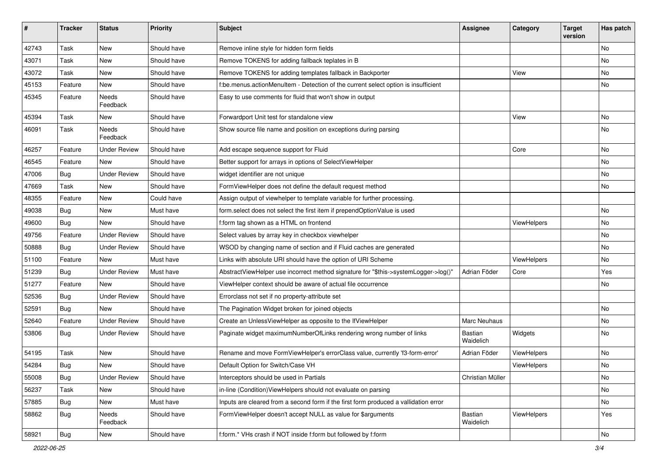| #     | <b>Tracker</b> | <b>Status</b>       | <b>Priority</b> | <b>Subject</b>                                                                       | Assignee             | Category    | <b>Target</b><br>version | Has patch     |
|-------|----------------|---------------------|-----------------|--------------------------------------------------------------------------------------|----------------------|-------------|--------------------------|---------------|
| 42743 | Task           | New                 | Should have     | Remove inline style for hidden form fields                                           |                      |             |                          | <b>No</b>     |
| 43071 | Task           | New                 | Should have     | Remove TOKENS for adding fallback teplates in B                                      |                      |             |                          | No            |
| 43072 | Task           | New                 | Should have     | Remove TOKENS for adding templates fallback in Backporter                            |                      | View        |                          | No            |
| 45153 | Feature        | <b>New</b>          | Should have     | f:be.menus.actionMenuItem - Detection of the current select option is insufficient   |                      |             |                          | No            |
| 45345 | Feature        | Needs<br>Feedback   | Should have     | Easy to use comments for fluid that won't show in output                             |                      |             |                          |               |
| 45394 | Task           | New                 | Should have     | Forwardport Unit test for standalone view                                            |                      | View        |                          | No            |
| 46091 | Task           | Needs<br>Feedback   | Should have     | Show source file name and position on exceptions during parsing                      |                      |             |                          | No            |
| 46257 | Feature        | <b>Under Review</b> | Should have     | Add escape sequence support for Fluid                                                |                      | Core        |                          | No            |
| 46545 | Feature        | New                 | Should have     | Better support for arrays in options of SelectViewHelper                             |                      |             |                          | No            |
| 47006 | Bug            | <b>Under Review</b> | Should have     | widget identifier are not unique                                                     |                      |             |                          | No            |
| 47669 | Task           | New                 | Should have     | FormViewHelper does not define the default request method                            |                      |             |                          | No            |
| 48355 | Feature        | New                 | Could have      | Assign output of viewhelper to template variable for further processing.             |                      |             |                          |               |
| 49038 | <b>Bug</b>     | New                 | Must have       | form.select does not select the first item if prependOptionValue is used             |                      |             |                          | No            |
| 49600 | Bug            | <b>New</b>          | Should have     | f:form tag shown as a HTML on frontend                                               |                      | ViewHelpers |                          | No            |
| 49756 | Feature        | <b>Under Review</b> | Should have     | Select values by array key in checkbox viewhelper                                    |                      |             |                          | No            |
| 50888 | Bug            | <b>Under Review</b> | Should have     | WSOD by changing name of section and if Fluid caches are generated                   |                      |             |                          | No            |
| 51100 | Feature        | <b>New</b>          | Must have       | Links with absolute URI should have the option of URI Scheme                         |                      | ViewHelpers |                          | No            |
| 51239 | Bug            | <b>Under Review</b> | Must have       | AbstractViewHelper use incorrect method signature for "\$this->systemLogger->log()"  | Adrian Föder         | Core        |                          | Yes           |
| 51277 | Feature        | <b>New</b>          | Should have     | ViewHelper context should be aware of actual file occurrence                         |                      |             |                          | No            |
| 52536 | Bug            | <b>Under Review</b> | Should have     | Errorclass not set if no property-attribute set                                      |                      |             |                          |               |
| 52591 | Bug            | New                 | Should have     | The Pagination Widget broken for joined objects                                      |                      |             |                          | No            |
| 52640 | Feature        | <b>Under Review</b> | Should have     | Create an UnlessViewHelper as opposite to the IfViewHelper                           | Marc Neuhaus         |             |                          | No            |
| 53806 | Bug            | <b>Under Review</b> | Should have     | Paginate widget maximumNumberOfLinks rendering wrong number of links                 | Bastian<br>Waidelich | Widgets     |                          | No            |
| 54195 | Task           | <b>New</b>          | Should have     | Rename and move FormViewHelper's errorClass value, currently 'f3-form-error'         | Adrian Föder         | ViewHelpers |                          | No            |
| 54284 | <b>Bug</b>     | New                 | Should have     | Default Option for Switch/Case VH                                                    |                      | ViewHelpers |                          | No            |
| 55008 | <b>Bug</b>     | <b>Under Review</b> | Should have     | Interceptors should be used in Partials                                              | Christian Müller     |             |                          | No            |
| 56237 | Task           | New                 | Should have     | in-line (Condition) View Helpers should not evaluate on parsing                      |                      |             |                          | No            |
| 57885 | <b>Bug</b>     | New                 | Must have       | Inputs are cleared from a second form if the first form produced a vallidation error |                      |             |                          | No            |
| 58862 | <b>Bug</b>     | Needs<br>Feedback   | Should have     | FormViewHelper doesn't accept NULL as value for \$arguments                          | Bastian<br>Waidelich | ViewHelpers |                          | Yes           |
| 58921 | <b>Bug</b>     | New                 | Should have     | f:form.* VHs crash if NOT inside f:form but followed by f:form                       |                      |             |                          | $\mathsf{No}$ |